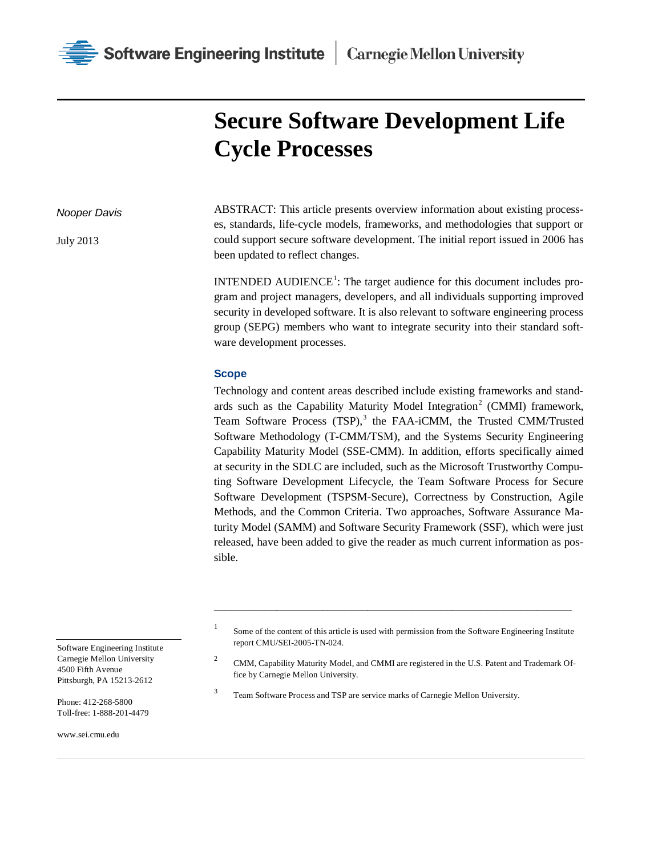

# **Secure Software Development Life Cycle Processes**

#### *Nooper Davis*

July 2013

ABSTRACT: This article presents overview information about existing processes, standards, life-cycle models, frameworks, and methodologies that support or could support secure software development. The initial report issued in 2006 has been updated to reflect changes.

INTENDED AUDIENCE<sup>[1](#page-0-0)</sup>: The target audience for this document includes program and project managers, developers, and all individuals supporting improved security in developed software. It is also relevant to software engineering process group (SEPG) members who want to integrate security into their standard software development processes.

# **Scope**

Technology and content areas described include existing frameworks and stand-ards such as the Capability Maturity Model Integration<sup>[2](#page-0-1)</sup> (CMMI) framework, Team Software Process (TSP),<sup>[3](#page-0-2)</sup> the FAA-iCMM, the Trusted CMM/Trusted Software Methodology (T-CMM/TSM), and the Systems Security Engineering Capability Maturity Model (SSE-CMM). In addition, efforts specifically aimed at security in the SDLC are included, such as the Microsoft Trustworthy Computing Software Development Lifecycle, the Team Software Process for Secure Software Development (TSPSM-Secure), Correctness by Construction, Agile Methods, and the Common Criteria. Two approaches, Software Assurance Maturity Model (SAMM) and Software Security Framework (SSF), which were just released, have been added to give the reader as much current information as possible.

<sup>1</sup> Some of the content of this article is used with permission from the Software Engineering Institute report CMU/SEI-2005-TN-024.

\_\_\_\_\_\_\_\_\_\_\_\_\_\_\_\_\_\_\_\_\_\_\_\_\_\_\_\_\_\_\_\_\_\_\_\_\_\_\_\_\_\_\_\_\_\_\_\_\_\_\_\_\_\_\_\_\_\_\_\_\_\_\_

<sup>2</sup> CMM, Capability Maturity Model, and CMMI are registered in the U.S. Patent and Trademark Office by Carnegie Mellon University.

<sup>3</sup> Team Software Process and TSP are service marks of Carnegie Mellon University.

<span id="page-0-1"></span><span id="page-0-0"></span>Software Engineering Institute Carnegie Mellon University 4500 Fifth Avenue Pittsburgh, PA 15213-2612

<span id="page-0-2"></span>Phone: 412-268-5800 Toll-free: 1-888-201-4479

www.sei.cmu.edu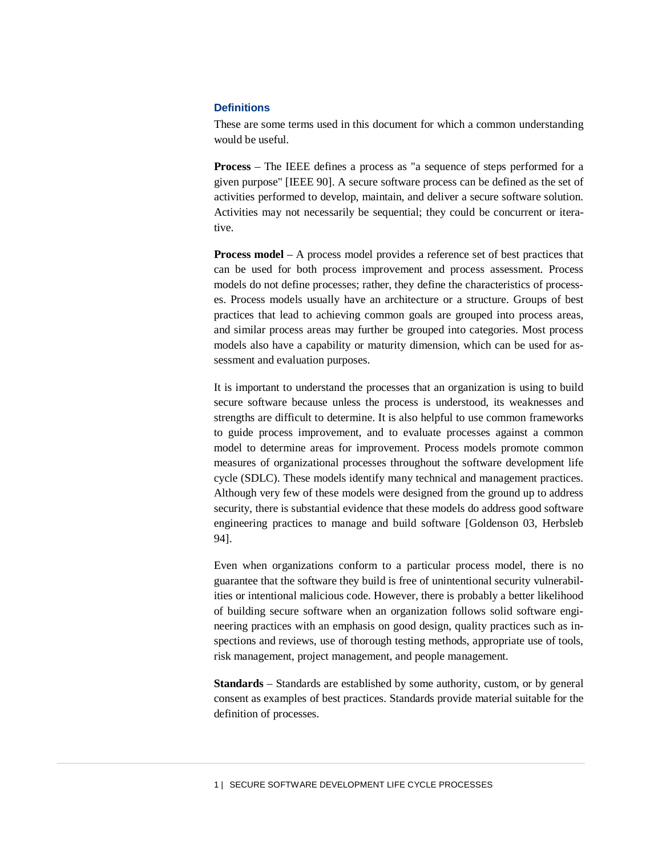# **Definitions**

These are some terms used in this document for which a common understanding would be useful.

**Process** – The IEEE defines a process as "a sequence of steps performed for a given purpose" [IEEE 90]. A secure software process can be defined as the set of activities performed to develop, maintain, and deliver a secure software solution. Activities may not necessarily be sequential; they could be concurrent or iterative.

**Process model** – A process model provides a reference set of best practices that can be used for both process improvement and process assessment. Process models do not define processes; rather, they define the characteristics of processes. Process models usually have an architecture or a structure. Groups of best practices that lead to achieving common goals are grouped into process areas, and similar process areas may further be grouped into categories. Most process models also have a capability or maturity dimension, which can be used for assessment and evaluation purposes.

It is important to understand the processes that an organization is using to build secure software because unless the process is understood, its weaknesses and strengths are difficult to determine. It is also helpful to use common frameworks to guide process improvement, and to evaluate processes against a common model to determine areas for improvement. Process models promote common measures of organizational processes throughout the software development life cycle (SDLC). These models identify many technical and management practices. Although very few of these models were designed from the ground up to address security, there is substantial evidence that these models do address good software engineering practices to manage and build software [Goldenson 03, Herbsleb 94].

Even when organizations conform to a particular process model, there is no guarantee that the software they build is free of unintentional security vulnerabilities or intentional malicious code. However, there is probably a better likelihood of building secure software when an organization follows solid software engineering practices with an emphasis on good design, quality practices such as inspections and reviews, use of thorough testing methods, appropriate use of tools, risk management, project management, and people management.

**Standards** – Standards are established by some authority, custom, or by general consent as examples of best practices. Standards provide material suitable for the definition of processes.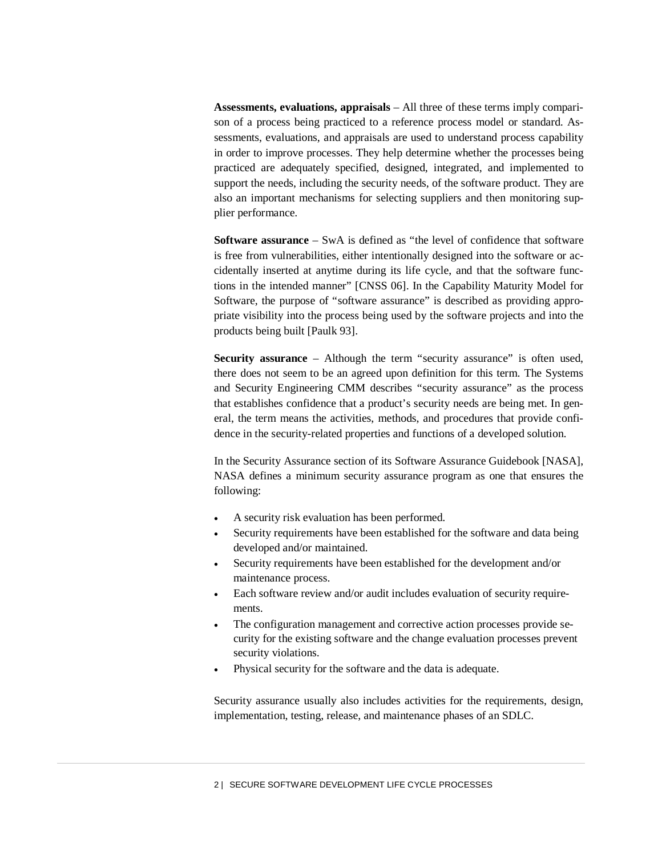**Assessments, evaluations, appraisals** – All three of these terms imply comparison of a process being practiced to a reference process model or standard. Assessments, evaluations, and appraisals are used to understand process capability in order to improve processes. They help determine whether the processes being practiced are adequately specified, designed, integrated, and implemented to support the needs, including the security needs, of the software product. They are also an important mechanisms for selecting suppliers and then monitoring supplier performance.

**Software assurance** – SwA is defined as "the level of confidence that software is free from vulnerabilities, either intentionally designed into the software or accidentally inserted at anytime during its life cycle, and that the software functions in the intended manner" [CNSS 06]. In the Capability Maturity Model for Software, the purpose of "software assurance" is described as providing appropriate visibility into the process being used by the software projects and into the products being built [Paulk 93].

**Security assurance** – Although the term "security assurance" is often used, there does not seem to be an agreed upon definition for this term. The Systems and Security Engineering CMM describes "security assurance" as the process that establishes confidence that a product's security needs are being met. In general, the term means the activities, methods, and procedures that provide confidence in the security-related properties and functions of a developed solution.

In the Security Assurance section of its Software Assurance Guidebook [NASA], NASA defines a minimum security assurance program as one that ensures the following:

- A security risk evaluation has been performed.
- Security requirements have been established for the software and data being developed and/or maintained.
- Security requirements have been established for the development and/or maintenance process.
- Each software review and/or audit includes evaluation of security requirements.
- The configuration management and corrective action processes provide security for the existing software and the change evaluation processes prevent security violations.
- Physical security for the software and the data is adequate.

Security assurance usually also includes activities for the requirements, design, implementation, testing, release, and maintenance phases of an SDLC.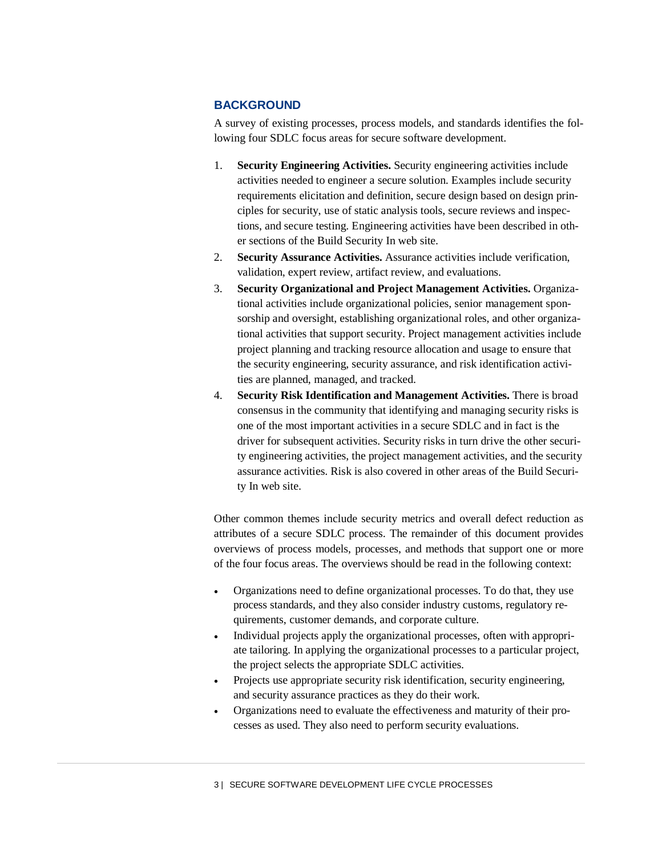# **BACKGROUND**

A survey of existing processes, process models, and standards identifies the following four SDLC focus areas for secure software development.

- 1. **Security Engineering Activities.** Security engineering activities include activities needed to engineer a secure solution. Examples include security requirements elicitation and definition, secure design based on design principles for security, use of static analysis tools, secure reviews and inspections, and secure testing. Engineering activities have been described in other sections of the Build Security In web site.
- 2. **Security Assurance Activities.** Assurance activities include verification, validation, expert review, artifact review, and evaluations.
- 3. **Security Organizational and Project Management Activities.** Organizational activities include organizational policies, senior management sponsorship and oversight, establishing organizational roles, and other organizational activities that support security. Project management activities include project planning and tracking resource allocation and usage to ensure that the security engineering, security assurance, and risk identification activities are planned, managed, and tracked.
- 4. **Security Risk Identification and Management Activities.** There is broad consensus in the community that identifying and managing security risks is one of the most important activities in a secure SDLC and in fact is the driver for subsequent activities. Security risks in turn drive the other security engineering activities, the project management activities, and the security assurance activities. Risk is also covered in other areas of the Build Security In web site.

Other common themes include security metrics and overall defect reduction as attributes of a secure SDLC process. The remainder of this document provides overviews of process models, processes, and methods that support one or more of the four focus areas. The overviews should be read in the following context:

- Organizations need to define organizational processes. To do that, they use process standards, and they also consider industry customs, regulatory requirements, customer demands, and corporate culture.
- Individual projects apply the organizational processes, often with appropriate tailoring. In applying the organizational processes to a particular project, the project selects the appropriate SDLC activities.
- Projects use appropriate security risk identification, security engineering, and security assurance practices as they do their work.
- Organizations need to evaluate the effectiveness and maturity of their processes as used. They also need to perform security evaluations.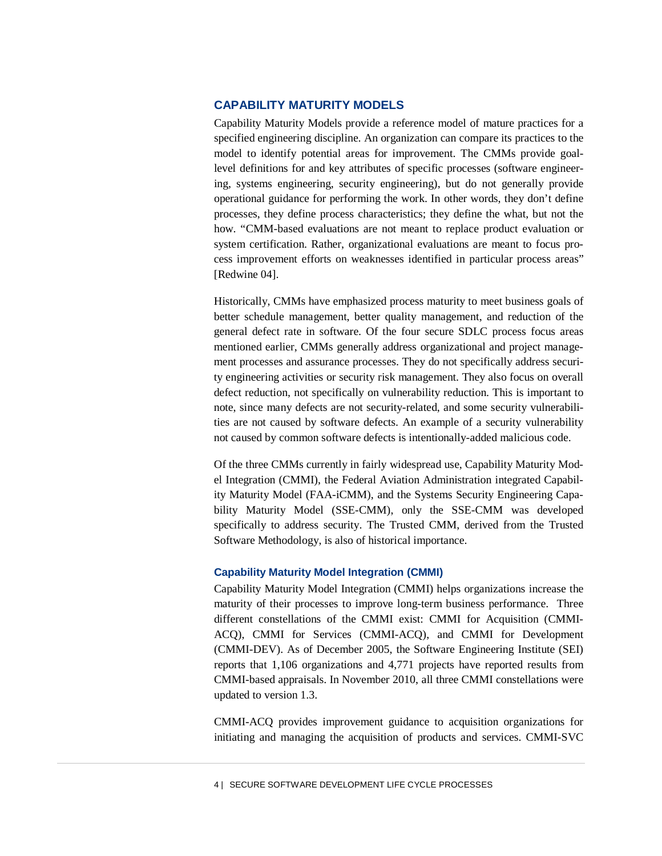# **CAPABILITY MATURITY MODELS**

Capability Maturity Models provide a reference model of mature practices for a specified engineering discipline. An organization can compare its practices to the model to identify potential areas for improvement. The CMMs provide goallevel definitions for and key attributes of specific processes (software engineering, systems engineering, security engineering), but do not generally provide operational guidance for performing the work. In other words, they don't define processes, they define process characteristics; they define the what, but not the how. "CMM-based evaluations are not meant to replace product evaluation or system certification. Rather, organizational evaluations are meant to focus process improvement efforts on weaknesses identified in particular process areas" [Redwine 04].

Historically, CMMs have emphasized process maturity to meet business goals of better schedule management, better quality management, and reduction of the general defect rate in software. Of the four secure SDLC process focus areas mentioned earlier, CMMs generally address organizational and project management processes and assurance processes. They do not specifically address security engineering activities or security risk management. They also focus on overall defect reduction, not specifically on vulnerability reduction. This is important to note, since many defects are not security-related, and some security vulnerabilities are not caused by software defects. An example of a security vulnerability not caused by common software defects is intentionally-added malicious code.

Of the three CMMs currently in fairly widespread use, Capability Maturity Model Integration (CMMI), the Federal Aviation Administration integrated Capability Maturity Model (FAA-iCMM), and the Systems Security Engineering Capability Maturity Model (SSE-CMM), only the SSE-CMM was developed specifically to address security. The Trusted CMM, derived from the Trusted Software Methodology, is also of historical importance.

#### **Capability Maturity Model Integration (CMMI)**

Capability Maturity Model Integration (CMMI) helps organizations increase the maturity of their processes to improve long-term business performance. Three different constellations of the CMMI exist: CMMI for Acquisition (CMMI-ACQ), CMMI for Services (CMMI-ACQ), and CMMI for Development (CMMI-DEV). As of December 2005, the Software Engineering Institute (SEI) reports that 1,106 organizations and 4,771 projects have reported results from CMMI-based appraisals. In November 2010, all three CMMI constellations were updated to version 1.3.

CMMI-ACQ provides improvement guidance to acquisition organizations for initiating and managing the acquisition of products and services. CMMI-SVC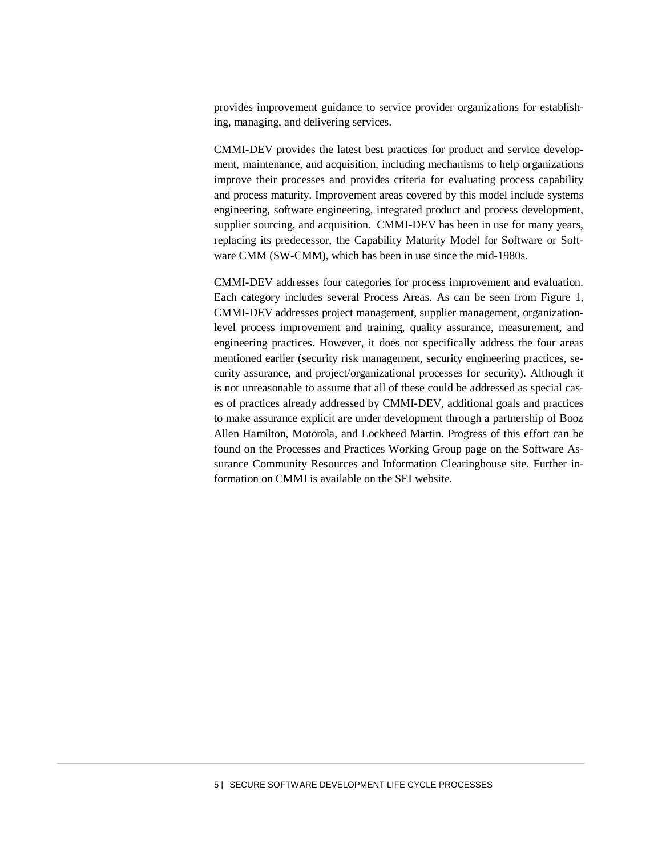provides improvement guidance to service provider organizations for establishing, managing, and delivering services.

CMMI-DEV provides the latest best practices for product and service development, maintenance, and acquisition, including mechanisms to help organizations improve their processes and provides criteria for evaluating process capability and process maturity. Improvement areas covered by this model include systems engineering, software engineering, integrated product and process development, supplier sourcing, and acquisition. CMMI-DEV has been in use for many years, replacing its predecessor, the Capability Maturity Model for Software or Software CMM (SW-CMM), which has been in use since the mid-1980s.

CMMI-DEV addresses four categories for process improvement and evaluation. Each category includes several Process Areas. As can be seen from Figure 1, CMMI-DEV addresses project management, supplier management, organizationlevel process improvement and training, quality assurance, measurement, and engineering practices. However, it does not specifically address the four areas mentioned earlier (security risk management, security engineering practices, security assurance, and project/organizational processes for security). Although it is not unreasonable to assume that all of these could be addressed as special cases of practices already addressed by CMMI-DEV, additional goals and practices to make assurance explicit are under development through a partnership of Booz Allen Hamilton, Motorola, and Lockheed Martin. Progress of this effort can be found on the Processes and Practices Working Group page on the Software Assurance Community Resources and Information Clearinghouse site. Further information on CMMI is available on the SEI website.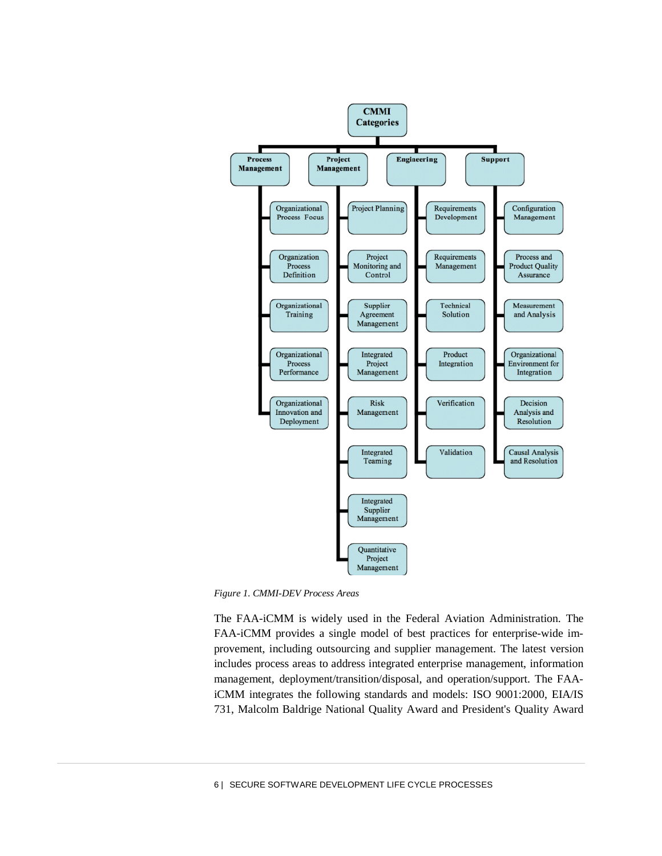

*Figure 1. CMMI-DEV Process Areas*

The FAA-iCMM is widely used in the Federal Aviation Administration. The FAA-iCMM provides a single model of best practices for enterprise-wide improvement, including outsourcing and supplier management. The latest version includes process areas to address integrated enterprise management, information management, deployment/transition/disposal, and operation/support. The FAAiCMM integrates the following standards and models: ISO 9001:2000, EIA/IS 731, Malcolm Baldrige National Quality Award and President's Quality Award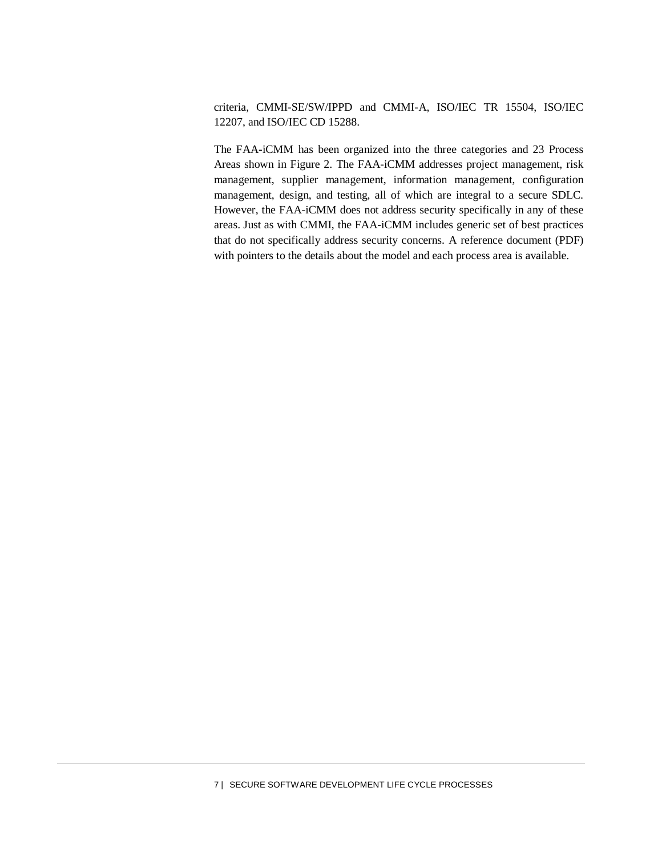criteria, CMMI-SE/SW/IPPD and CMMI-A, ISO/IEC TR 15504, ISO/IEC 12207, and ISO/IEC CD 15288.

The FAA-iCMM has been organized into the three categories and 23 Process Areas shown in Figure 2. The FAA-iCMM addresses project management, risk management, supplier management, information management, configuration management, design, and testing, all of which are integral to a secure SDLC. However, the FAA-iCMM does not address security specifically in any of these areas. Just as with CMMI, the FAA-iCMM includes generic set of best practices that do not specifically address security concerns. A reference document (PDF) with pointers to the details about the model and each process area is available.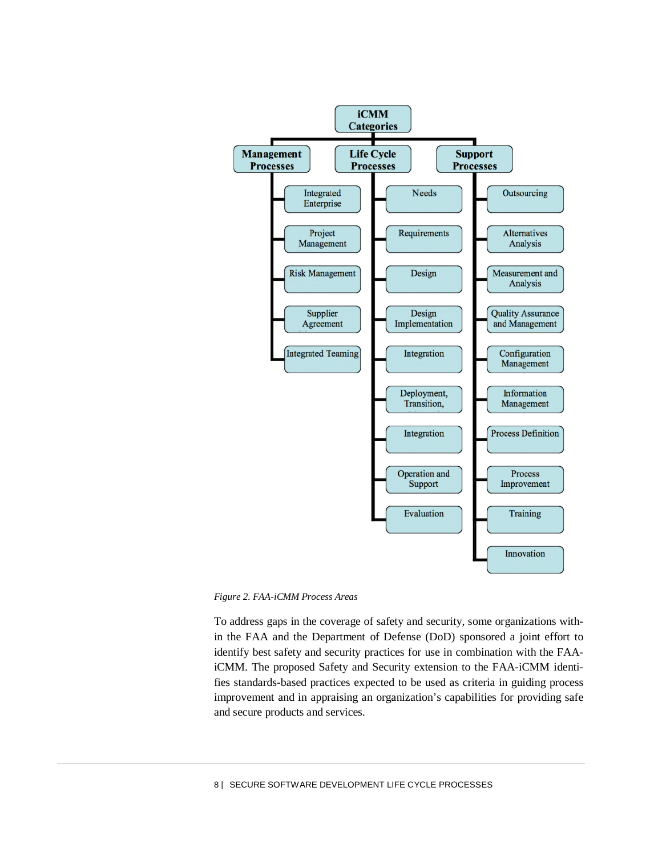

*Figure 2. FAA-iCMM Process Areas*

To address gaps in the coverage of safety and security, some organizations within the FAA and the Department of Defense (DoD) sponsored a joint effort to identify best safety and security practices for use in combination with the FAAiCMM. The proposed Safety and Security extension to the FAA-iCMM identifies standards-based practices expected to be used as criteria in guiding process improvement and in appraising an organization's capabilities for providing safe and secure products and services.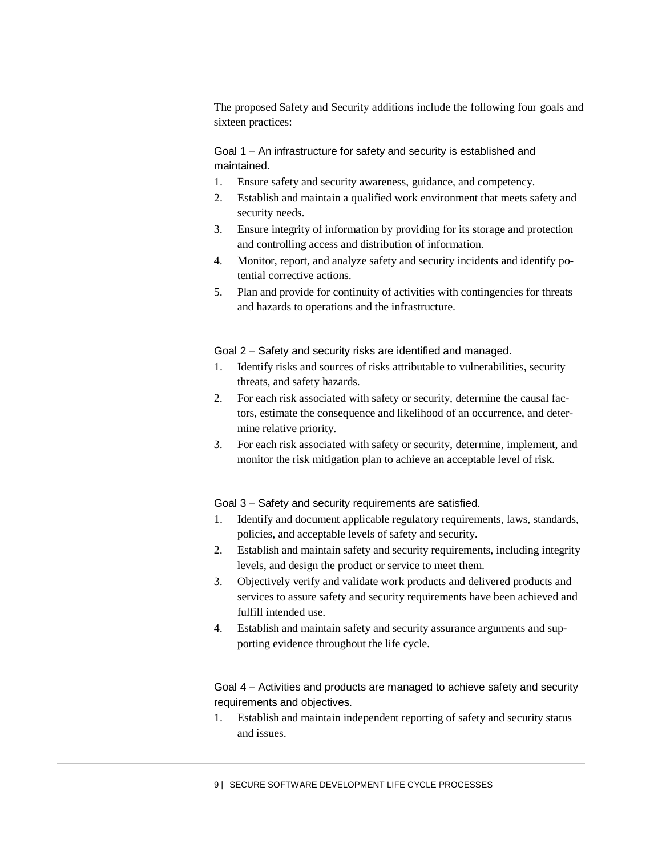The proposed Safety and Security additions include the following four goals and sixteen practices:

Goal 1 – An infrastructure for safety and security is established and maintained.

- 1. Ensure safety and security awareness, guidance, and competency.
- 2. Establish and maintain a qualified work environment that meets safety and security needs.
- 3. Ensure integrity of information by providing for its storage and protection and controlling access and distribution of information.
- 4. Monitor, report, and analyze safety and security incidents and identify potential corrective actions.
- 5. Plan and provide for continuity of activities with contingencies for threats and hazards to operations and the infrastructure.

Goal 2 – Safety and security risks are identified and managed.

- 1. Identify risks and sources of risks attributable to vulnerabilities, security threats, and safety hazards.
- 2. For each risk associated with safety or security, determine the causal factors, estimate the consequence and likelihood of an occurrence, and determine relative priority.
- 3. For each risk associated with safety or security, determine, implement, and monitor the risk mitigation plan to achieve an acceptable level of risk.

Goal 3 – Safety and security requirements are satisfied.

- 1. Identify and document applicable regulatory requirements, laws, standards, policies, and acceptable levels of safety and security.
- 2. Establish and maintain safety and security requirements, including integrity levels, and design the product or service to meet them.
- 3. Objectively verify and validate work products and delivered products and services to assure safety and security requirements have been achieved and fulfill intended use.
- 4. Establish and maintain safety and security assurance arguments and supporting evidence throughout the life cycle.

Goal 4 – Activities and products are managed to achieve safety and security requirements and objectives.

1. Establish and maintain independent reporting of safety and security status and issues.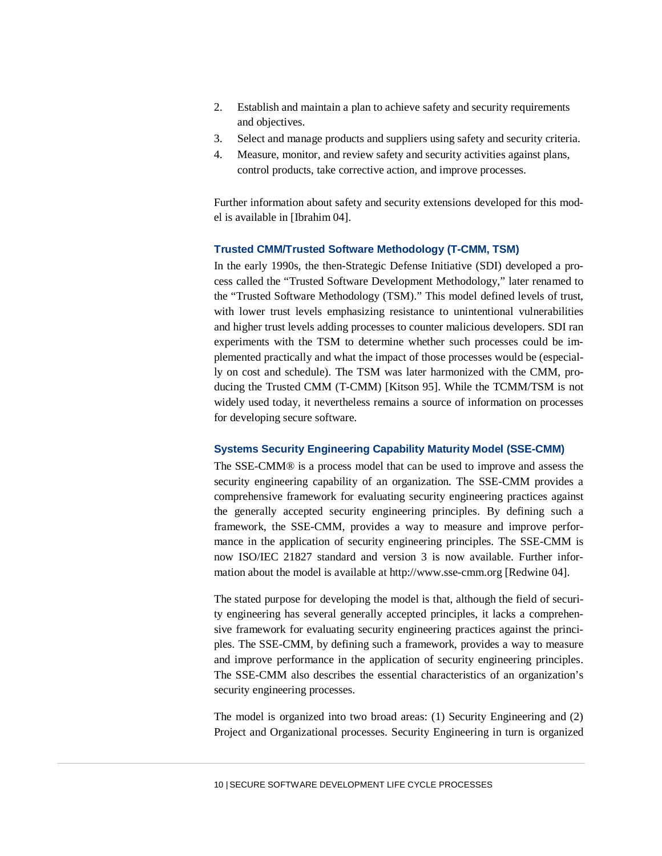- 2. Establish and maintain a plan to achieve safety and security requirements and objectives.
- 3. Select and manage products and suppliers using safety and security criteria.
- 4. Measure, monitor, and review safety and security activities against plans, control products, take corrective action, and improve processes.

Further information about safety and security extensions developed for this model is available in [Ibrahim 04].

# **Trusted CMM/Trusted Software Methodology (T-CMM, TSM)**

In the early 1990s, the then-Strategic Defense Initiative (SDI) developed a process called the "Trusted Software Development Methodology," later renamed to the "Trusted Software Methodology (TSM)." This model defined levels of trust, with lower trust levels emphasizing resistance to unintentional vulnerabilities and higher trust levels adding processes to counter malicious developers. SDI ran experiments with the TSM to determine whether such processes could be implemented practically and what the impact of those processes would be (especially on cost and schedule). The TSM was later harmonized with the CMM, producing the Trusted CMM (T-CMM) [Kitson 95]. While the TCMM/TSM is not widely used today, it nevertheless remains a source of information on processes for developing secure software.

# **Systems Security Engineering Capability Maturity Model (SSE-CMM)**

The SSE-CMM® is a process model that can be used to improve and assess the security engineering capability of an organization. The SSE-CMM provides a comprehensive framework for evaluating security engineering practices against the generally accepted security engineering principles. By defining such a framework, the SSE-CMM, provides a way to measure and improve performance in the application of security engineering principles. The SSE-CMM is now ISO/IEC 21827 standard and version 3 is now available. Further information about the model is available at http://www.sse-cmm.org [Redwine 04].

The stated purpose for developing the model is that, although the field of security engineering has several generally accepted principles, it lacks a comprehensive framework for evaluating security engineering practices against the principles. The SSE-CMM, by defining such a framework, provides a way to measure and improve performance in the application of security engineering principles. The SSE-CMM also describes the essential characteristics of an organization's security engineering processes.

The model is organized into two broad areas: (1) Security Engineering and (2) Project and Organizational processes. Security Engineering in turn is organized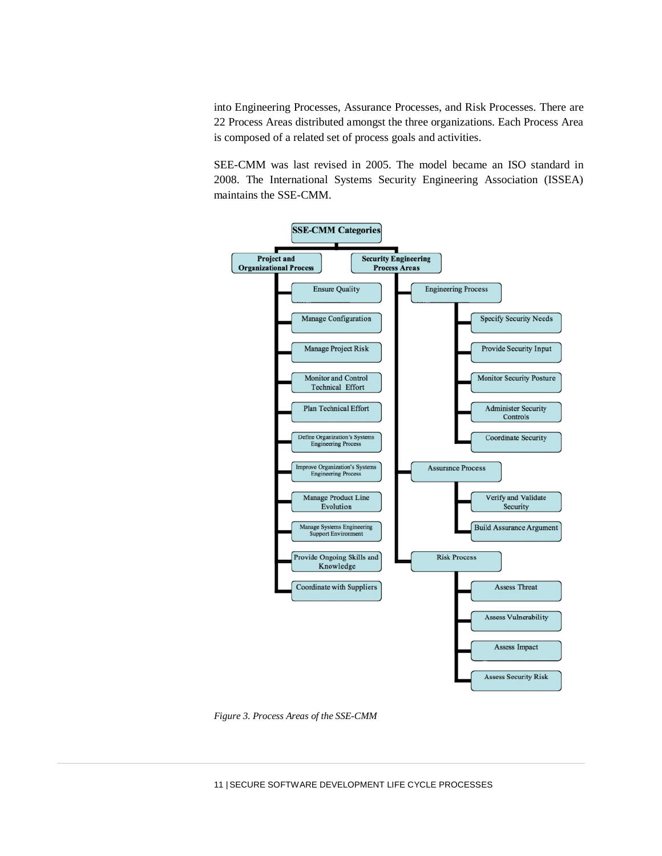into Engineering Processes, Assurance Processes, and Risk Processes. There are 22 Process Areas distributed amongst the three organizations. Each Process Area is composed of a related set of process goals and activities.

SEE-CMM was last revised in 2005. The model became an ISO standard in 2008. The International Systems Security Engineering Association (ISSEA) maintains the SSE-CMM.



*Figure 3. Process Areas of the SSE-CMM*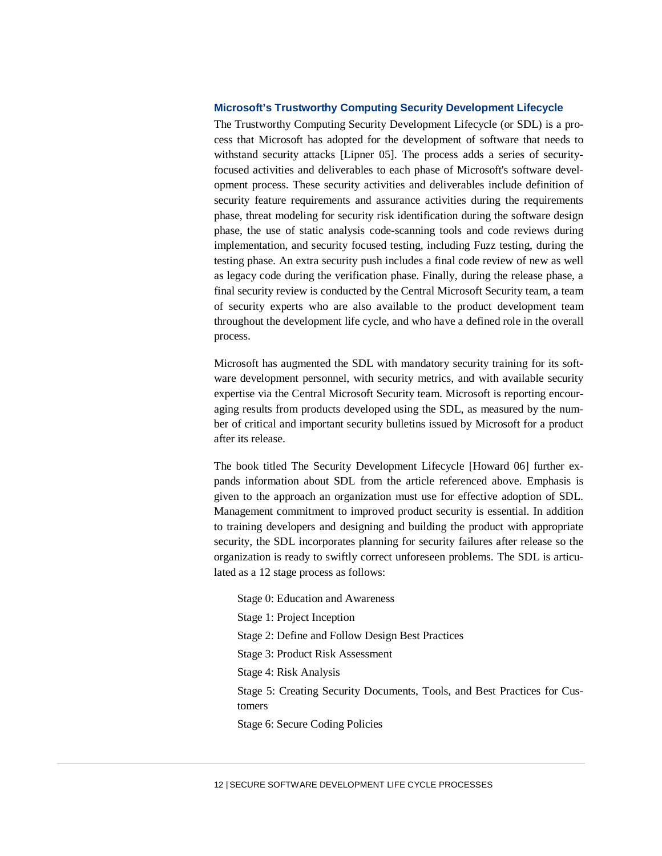#### **Microsoft's Trustworthy Computing Security Development Lifecycle**

The Trustworthy Computing Security Development Lifecycle (or SDL) is a process that Microsoft has adopted for the development of software that needs to withstand security attacks [Lipner 05]. The process adds a series of securityfocused activities and deliverables to each phase of Microsoft's software development process. These security activities and deliverables include definition of security feature requirements and assurance activities during the requirements phase, threat modeling for security risk identification during the software design phase, the use of static analysis code-scanning tools and code reviews during implementation, and security focused testing, including Fuzz testing, during the testing phase. An extra security push includes a final code review of new as well as legacy code during the verification phase. Finally, during the release phase, a final security review is conducted by the Central Microsoft Security team, a team of security experts who are also available to the product development team throughout the development life cycle, and who have a defined role in the overall process.

Microsoft has augmented the SDL with mandatory security training for its software development personnel, with security metrics, and with available security expertise via the Central Microsoft Security team. Microsoft is reporting encouraging results from products developed using the SDL, as measured by the number of critical and important security bulletins issued by Microsoft for a product after its release.

The book titled The Security Development Lifecycle [Howard 06] further expands information about SDL from the article referenced above. Emphasis is given to the approach an organization must use for effective adoption of SDL. Management commitment to improved product security is essential. In addition to training developers and designing and building the product with appropriate security, the SDL incorporates planning for security failures after release so the organization is ready to swiftly correct unforeseen problems. The SDL is articulated as a 12 stage process as follows:

Stage 0: Education and Awareness Stage 1: Project Inception Stage 2: Define and Follow Design Best Practices Stage 3: Product Risk Assessment Stage 4: Risk Analysis Stage 5: Creating Security Documents, Tools, and Best Practices for Customers Stage 6: Secure Coding Policies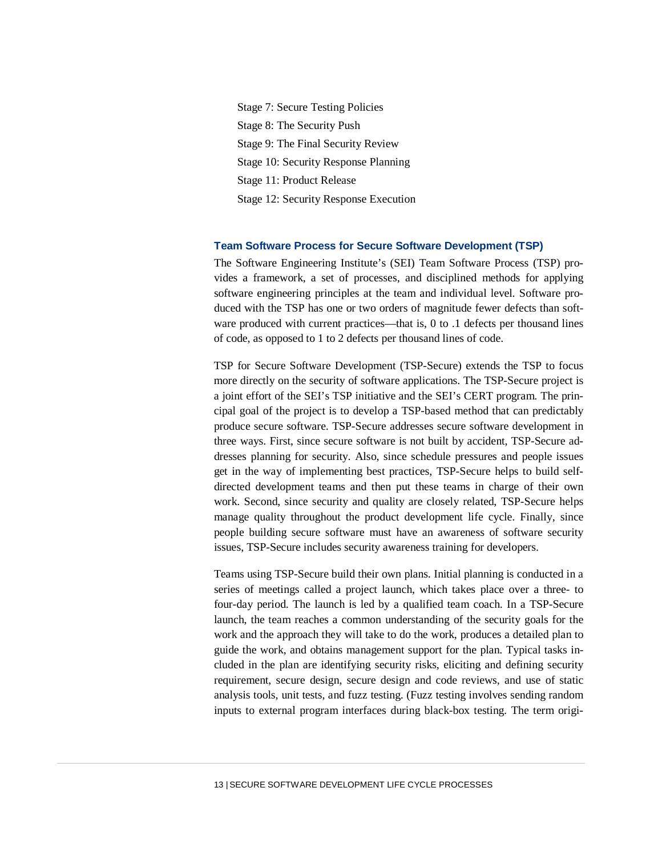Stage 7: Secure Testing Policies Stage 8: The Security Push Stage 9: The Final Security Review Stage 10: Security Response Planning Stage 11: Product Release Stage 12: Security Response Execution

#### **Team Software Process for Secure Software Development (TSP)**

The Software Engineering Institute's (SEI) Team Software Process (TSP) provides a framework, a set of processes, and disciplined methods for applying software engineering principles at the team and individual level. Software produced with the TSP has one or two orders of magnitude fewer defects than software produced with current practices—that is, 0 to .1 defects per thousand lines of code, as opposed to 1 to 2 defects per thousand lines of code.

TSP for Secure Software Development (TSP-Secure) extends the TSP to focus more directly on the security of software applications. The TSP-Secure project is a joint effort of the SEI's TSP initiative and the SEI's CERT program. The principal goal of the project is to develop a TSP-based method that can predictably produce secure software. TSP-Secure addresses secure software development in three ways. First, since secure software is not built by accident, TSP-Secure addresses planning for security. Also, since schedule pressures and people issues get in the way of implementing best practices, TSP-Secure helps to build selfdirected development teams and then put these teams in charge of their own work. Second, since security and quality are closely related, TSP-Secure helps manage quality throughout the product development life cycle. Finally, since people building secure software must have an awareness of software security issues, TSP-Secure includes security awareness training for developers.

Teams using TSP-Secure build their own plans. Initial planning is conducted in a series of meetings called a project launch, which takes place over a three- to four-day period. The launch is led by a qualified team coach. In a TSP-Secure launch, the team reaches a common understanding of the security goals for the work and the approach they will take to do the work, produces a detailed plan to guide the work, and obtains management support for the plan. Typical tasks included in the plan are identifying security risks, eliciting and defining security requirement, secure design, secure design and code reviews, and use of static analysis tools, unit tests, and fuzz testing. (Fuzz testing involves sending random inputs to external program interfaces during black-box testing. The term origi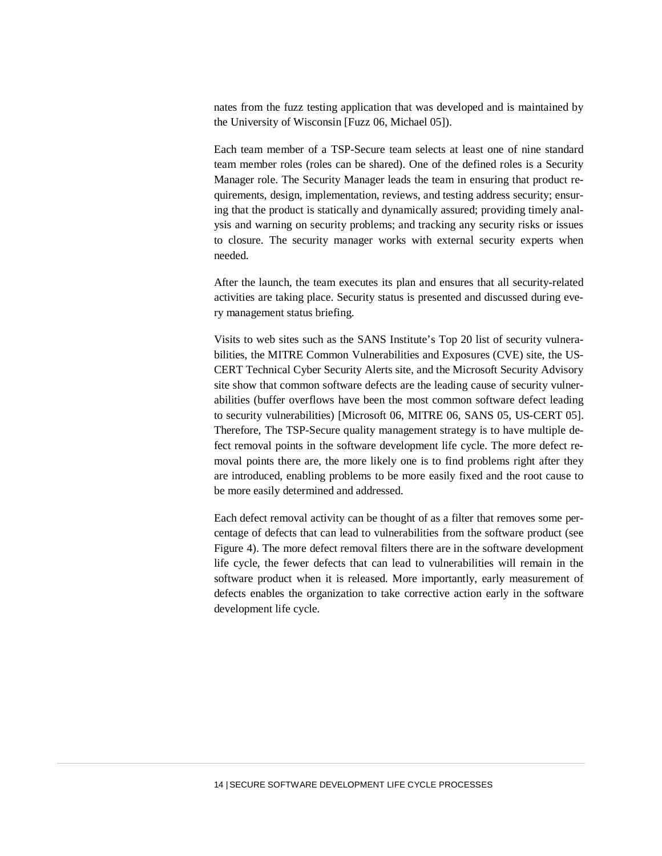nates from the fuzz testing application that was developed and is maintained by the University of Wisconsin [Fuzz 06, Michael 05]).

Each team member of a TSP-Secure team selects at least one of nine standard team member roles (roles can be shared). One of the defined roles is a Security Manager role. The Security Manager leads the team in ensuring that product requirements, design, implementation, reviews, and testing address security; ensuring that the product is statically and dynamically assured; providing timely analysis and warning on security problems; and tracking any security risks or issues to closure. The security manager works with external security experts when needed.

After the launch, the team executes its plan and ensures that all security-related activities are taking place. Security status is presented and discussed during every management status briefing.

Visits to web sites such as the SANS Institute's Top 20 list of security vulnerabilities, the MITRE Common Vulnerabilities and Exposures (CVE) site, the US-CERT Technical Cyber Security Alerts site, and the Microsoft Security Advisory site show that common software defects are the leading cause of security vulnerabilities (buffer overflows have been the most common software defect leading to security vulnerabilities) [Microsoft 06, MITRE 06, SANS 05, US-CERT 05]. Therefore, The TSP-Secure quality management strategy is to have multiple defect removal points in the software development life cycle. The more defect removal points there are, the more likely one is to find problems right after they are introduced, enabling problems to be more easily fixed and the root cause to be more easily determined and addressed.

Each defect removal activity can be thought of as a filter that removes some percentage of defects that can lead to vulnerabilities from the software product (see Figure 4). The more defect removal filters there are in the software development life cycle, the fewer defects that can lead to vulnerabilities will remain in the software product when it is released. More importantly, early measurement of defects enables the organization to take corrective action early in the software development life cycle.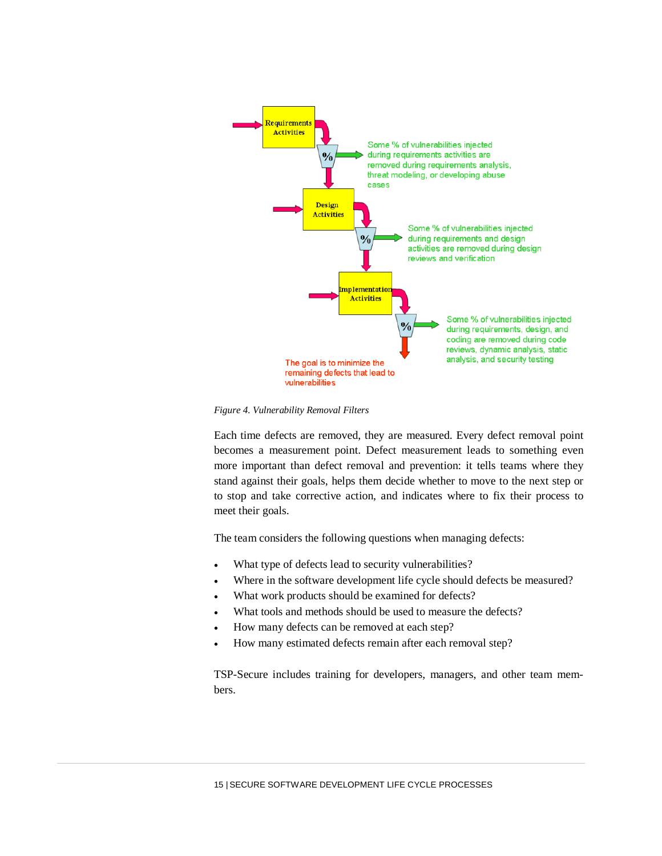

*Figure 4. Vulnerability Removal Filters*

Each time defects are removed, they are measured. Every defect removal point becomes a measurement point. Defect measurement leads to something even more important than defect removal and prevention: it tells teams where they stand against their goals, helps them decide whether to move to the next step or to stop and take corrective action, and indicates where to fix their process to meet their goals.

The team considers the following questions when managing defects:

- What type of defects lead to security vulnerabilities?
- Where in the software development life cycle should defects be measured?
- What work products should be examined for defects?
- What tools and methods should be used to measure the defects?
- How many defects can be removed at each step?
- How many estimated defects remain after each removal step?

TSP-Secure includes training for developers, managers, and other team members.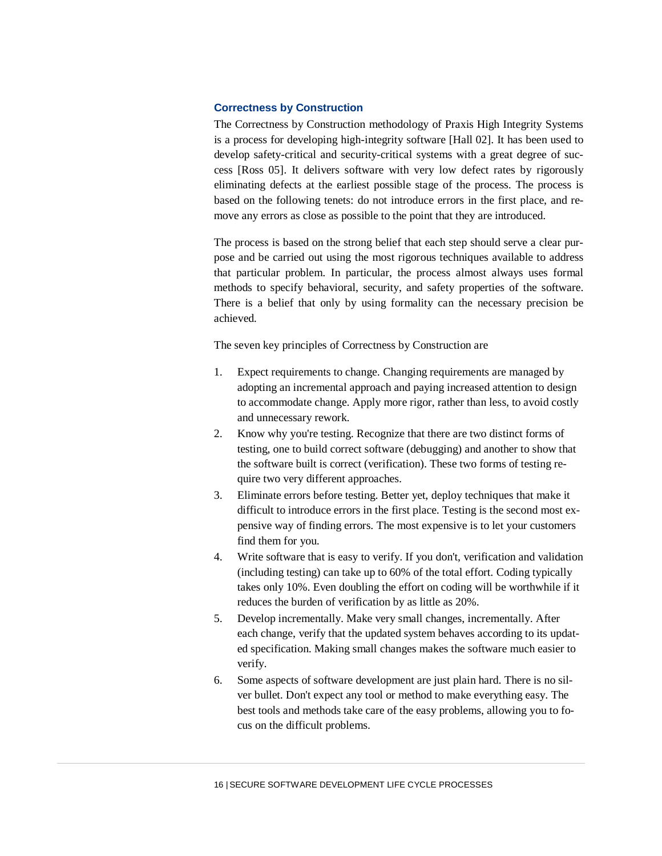## **Correctness by Construction**

The Correctness by Construction methodology of Praxis High Integrity Systems is a process for developing high-integrity software [Hall 02]. It has been used to develop safety-critical and security-critical systems with a great degree of success [Ross 05]. It delivers software with very low defect rates by rigorously eliminating defects at the earliest possible stage of the process. The process is based on the following tenets: do not introduce errors in the first place, and remove any errors as close as possible to the point that they are introduced.

The process is based on the strong belief that each step should serve a clear purpose and be carried out using the most rigorous techniques available to address that particular problem. In particular, the process almost always uses formal methods to specify behavioral, security, and safety properties of the software. There is a belief that only by using formality can the necessary precision be achieved.

The seven key principles of Correctness by Construction are

- 1. Expect requirements to change. Changing requirements are managed by adopting an incremental approach and paying increased attention to design to accommodate change. Apply more rigor, rather than less, to avoid costly and unnecessary rework.
- 2. Know why you're testing. Recognize that there are two distinct forms of testing, one to build correct software (debugging) and another to show that the software built is correct (verification). These two forms of testing require two very different approaches.
- 3. Eliminate errors before testing. Better yet, deploy techniques that make it difficult to introduce errors in the first place. Testing is the second most expensive way of finding errors. The most expensive is to let your customers find them for you.
- 4. Write software that is easy to verify. If you don't, verification and validation (including testing) can take up to 60% of the total effort. Coding typically takes only 10%. Even doubling the effort on coding will be worthwhile if it reduces the burden of verification by as little as 20%.
- 5. Develop incrementally. Make very small changes, incrementally. After each change, verify that the updated system behaves according to its updated specification. Making small changes makes the software much easier to verify.
- 6. Some aspects of software development are just plain hard. There is no silver bullet. Don't expect any tool or method to make everything easy. The best tools and methods take care of the easy problems, allowing you to focus on the difficult problems.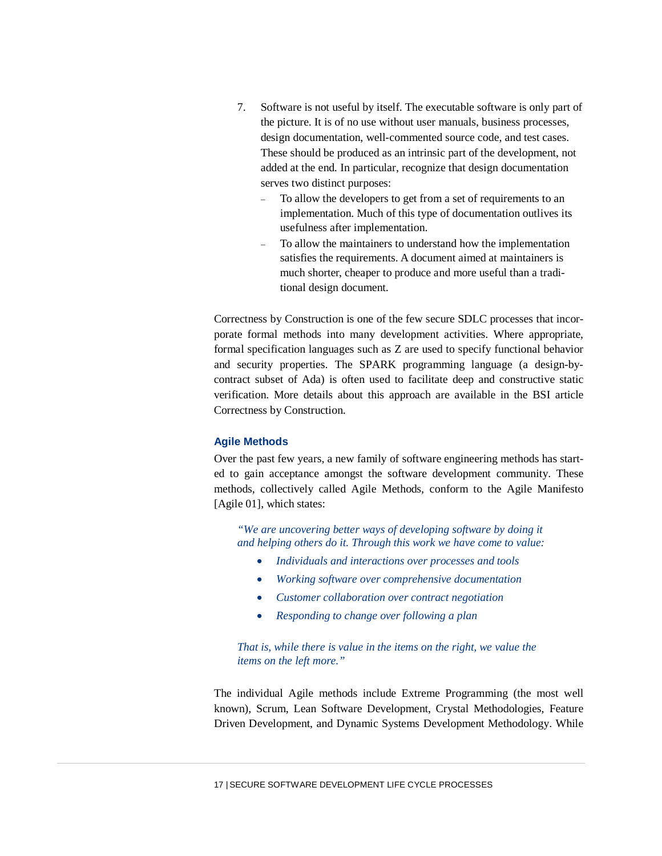- 7. Software is not useful by itself. The executable software is only part of the picture. It is of no use without user manuals, business processes, design documentation, well-commented source code, and test cases. These should be produced as an intrinsic part of the development, not added at the end. In particular, recognize that design documentation serves two distinct purposes:
	- − To allow the developers to get from a set of requirements to an implementation. Much of this type of documentation outlives its usefulness after implementation.
	- − To allow the maintainers to understand how the implementation satisfies the requirements. A document aimed at maintainers is much shorter, cheaper to produce and more useful than a traditional design document.

Correctness by Construction is one of the few secure SDLC processes that incorporate formal methods into many development activities. Where appropriate, formal specification languages such as Z are used to specify functional behavior and security properties. The SPARK programming language (a design-bycontract subset of Ada) is often used to facilitate deep and constructive static verification. More details about this approach are available in the BSI article Correctness by Construction.

# **Agile Methods**

Over the past few years, a new family of software engineering methods has started to gain acceptance amongst the software development community. These methods, collectively called Agile Methods, conform to the Agile Manifesto [Agile 01], which states:

*"We are uncovering better ways of developing software by doing it and helping others do it. Through this work we have come to value:*

- *Individuals and interactions over processes and tools*
- *Working software over comprehensive documentation*
- *Customer collaboration over contract negotiation*
- *Responding to change over following a plan*

# *That is, while there is value in the items on the right, we value the items on the left more."*

The individual Agile methods include Extreme Programming (the most well known), Scrum, Lean Software Development, Crystal Methodologies, Feature Driven Development, and Dynamic Systems Development Methodology. While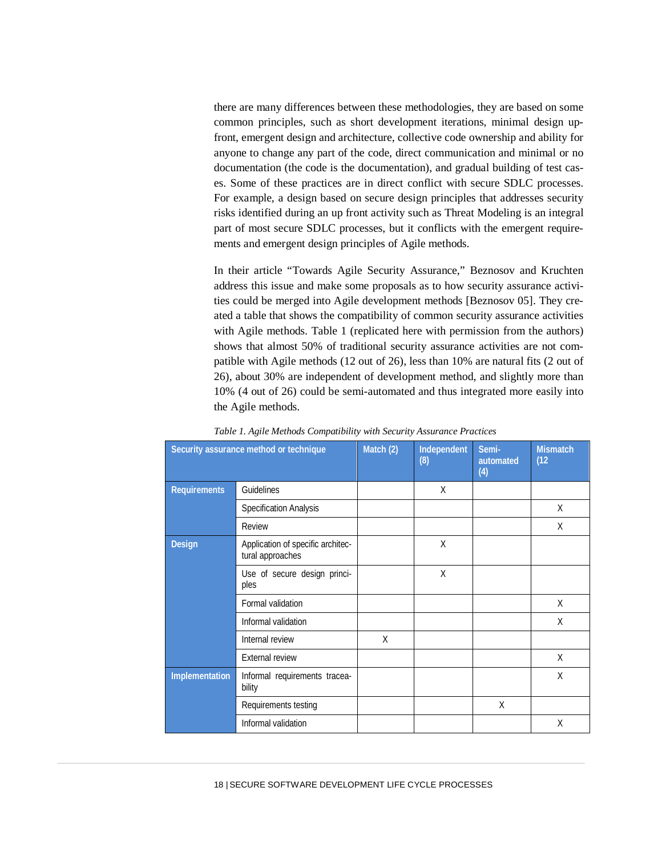there are many differences between these methodologies, they are based on some common principles, such as short development iterations, minimal design upfront, emergent design and architecture, collective code ownership and ability for anyone to change any part of the code, direct communication and minimal or no documentation (the code is the documentation), and gradual building of test cases. Some of these practices are in direct conflict with secure SDLC processes. For example, a design based on secure design principles that addresses security risks identified during an up front activity such as Threat Modeling is an integral part of most secure SDLC processes, but it conflicts with the emergent requirements and emergent design principles of Agile methods.

In their article "Towards Agile Security Assurance," Beznosov and Kruchten address this issue and make some proposals as to how security assurance activities could be merged into Agile development methods [Beznosov 05]. They created a table that shows the compatibility of common security assurance activities with Agile methods. Table 1 (replicated here with permission from the authors) shows that almost 50% of traditional security assurance activities are not compatible with Agile methods (12 out of 26), less than 10% are natural fits (2 out of 26), about 30% are independent of development method, and slightly more than 10% (4 out of 26) could be semi-automated and thus integrated more easily into the Agile methods.

|                     | Security assurance method or technique                | Match (2) | Independent<br>(8) | Semi-<br>automated<br>(4) | <b>Mismatch</b><br>(12) |
|---------------------|-------------------------------------------------------|-----------|--------------------|---------------------------|-------------------------|
| <b>Requirements</b> | Guidelines                                            |           | X                  |                           |                         |
|                     | <b>Specification Analysis</b>                         |           |                    |                           | X                       |
|                     | Review                                                |           |                    |                           | X                       |
| <b>Design</b>       | Application of specific architec-<br>tural approaches |           | X                  |                           |                         |
|                     | Use of secure design princi-<br>ples                  |           | X                  |                           |                         |
|                     | Formal validation                                     |           |                    |                           | X                       |
|                     | Informal validation                                   |           |                    |                           | X                       |
|                     | Internal review                                       | X         |                    |                           |                         |
|                     | <b>External review</b>                                |           |                    |                           | X                       |
| Implementation      | Informal requirements tracea-<br>bility               |           |                    |                           | X                       |
|                     | Requirements testing                                  |           |                    | X                         |                         |
|                     | Informal validation                                   |           |                    |                           | X                       |

*Table 1. Agile Methods Compatibility with Security Assurance Practices*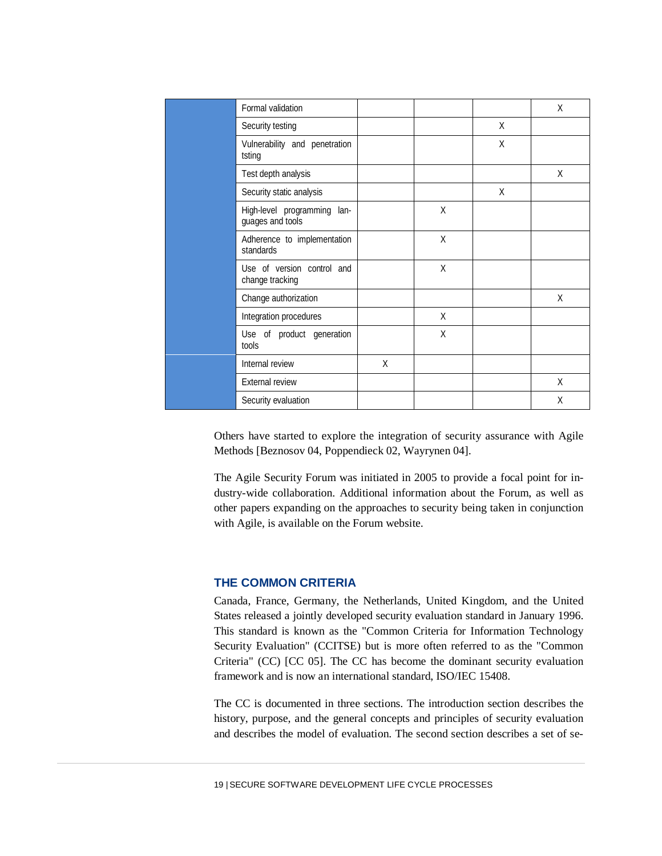| Formal validation                               |   |   |   | X |
|-------------------------------------------------|---|---|---|---|
| Security testing                                |   |   | X |   |
| Vulnerability and penetration<br>tsting         |   |   | X |   |
| Test depth analysis                             |   |   |   | X |
| Security static analysis                        |   |   | X |   |
| High-level programming lan-<br>guages and tools |   | X |   |   |
| Adherence to implementation<br>standards        |   | X |   |   |
| Use of version control and<br>change tracking   |   | X |   |   |
| Change authorization                            |   |   |   | X |
| Integration procedures                          |   | X |   |   |
| Use of product generation<br>tools              |   | X |   |   |
| Internal review                                 | X |   |   |   |
| <b>External review</b>                          |   |   |   | X |
| Security evaluation                             |   |   |   | X |

Others have started to explore the integration of security assurance with Agile Methods [Beznosov 04, Poppendieck 02, Wayrynen 04].

The Agile Security Forum was initiated in 2005 to provide a focal point for industry-wide collaboration. Additional information about the Forum, as well as other papers expanding on the approaches to security being taken in conjunction with Agile, is available on the Forum website.

# **THE COMMON CRITERIA**

Canada, France, Germany, the Netherlands, United Kingdom, and the United States released a jointly developed security evaluation standard in January 1996. This standard is known as the "Common Criteria for Information Technology Security Evaluation" (CCITSE) but is more often referred to as the "Common Criteria" (CC) [CC 05]. The CC has become the dominant security evaluation framework and is now an international standard, ISO/IEC 15408.

The CC is documented in three sections. The introduction section describes the history, purpose, and the general concepts and principles of security evaluation and describes the model of evaluation. The second section describes a set of se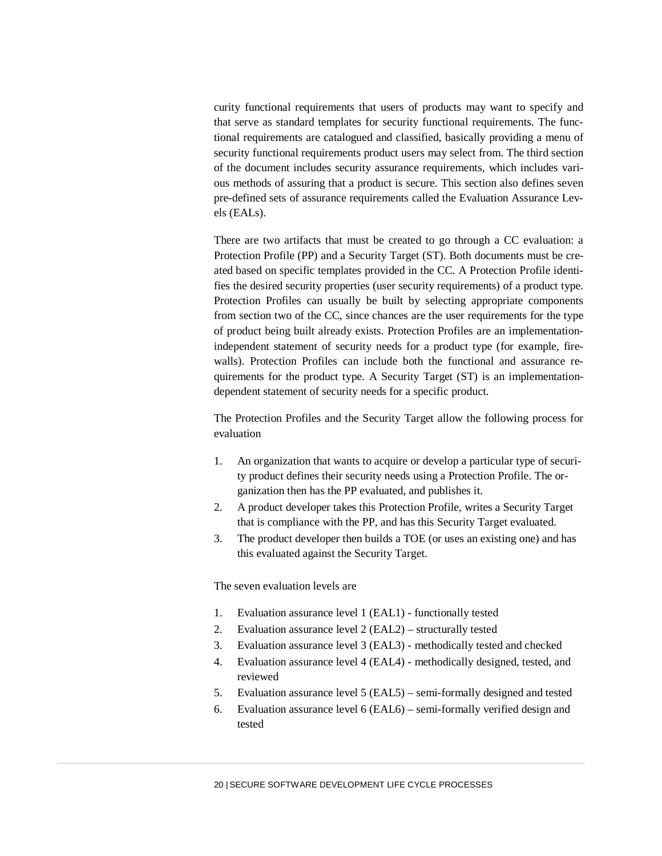curity functional requirements that users of products may want to specify and that serve as standard templates for security functional requirements. The functional requirements are catalogued and classified, basically providing a menu of security functional requirements product users may select from. The third section of the document includes security assurance requirements, which includes various methods of assuring that a product is secure. This section also defines seven pre-defined sets of assurance requirements called the Evaluation Assurance Levels (EALs).

There are two artifacts that must be created to go through a CC evaluation: a Protection Profile (PP) and a Security Target (ST). Both documents must be created based on specific templates provided in the CC. A Protection Profile identifies the desired security properties (user security requirements) of a product type. Protection Profiles can usually be built by selecting appropriate components from section two of the CC, since chances are the user requirements for the type of product being built already exists. Protection Profiles are an implementationindependent statement of security needs for a product type (for example, firewalls). Protection Profiles can include both the functional and assurance requirements for the product type. A Security Target (ST) is an implementationdependent statement of security needs for a specific product.

The Protection Profiles and the Security Target allow the following process for evaluation

- 1. An organization that wants to acquire or develop a particular type of security product defines their security needs using a Protection Profile. The organization then has the PP evaluated, and publishes it.
- 2. A product developer takes this Protection Profile, writes a Security Target that is compliance with the PP, and has this Security Target evaluated.
- 3. The product developer then builds a TOE (or uses an existing one) and has this evaluated against the Security Target.

The seven evaluation levels are

- 1. Evaluation assurance level 1 (EAL1) functionally tested
- 2. Evaluation assurance level 2 (EAL2) structurally tested
- 3. Evaluation assurance level 3 (EAL3) methodically tested and checked
- 4. Evaluation assurance level 4 (EAL4) methodically designed, tested, and reviewed
- 5. Evaluation assurance level 5 (EAL5) semi-formally designed and tested
- 6. Evaluation assurance level 6 (EAL6) semi-formally verified design and tested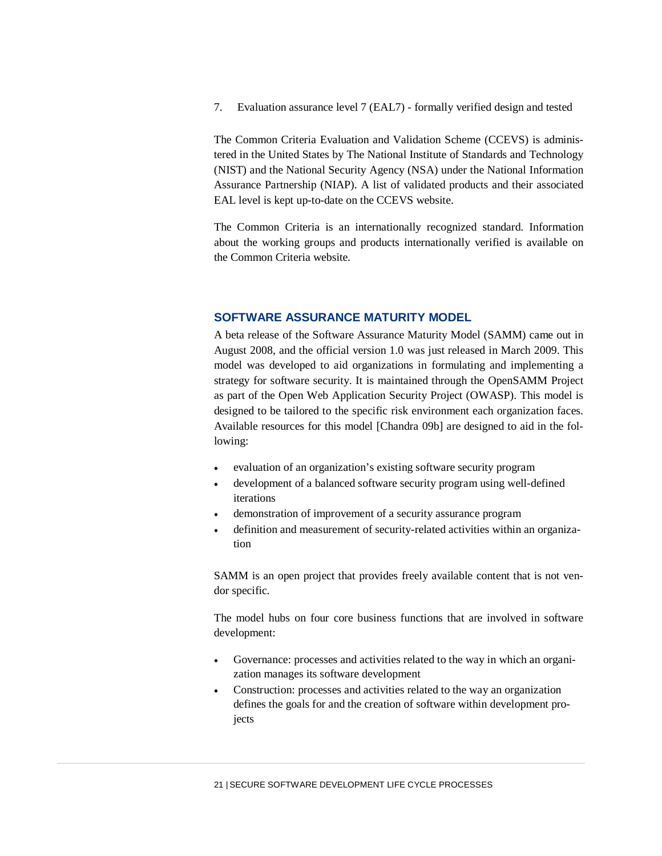7. Evaluation assurance level 7 (EAL7) - formally verified design and tested

The Common Criteria Evaluation and Validation Scheme (CCEVS) is administered in the United States by The National Institute of Standards and Technology (NIST) and the National Security Agency (NSA) under the National Information Assurance Partnership (NIAP). A list of validated products and their associated EAL level is kept up-to-date on the CCEVS website.

The Common Criteria is an internationally recognized standard. Information about the working groups and products internationally verified is available on the Common Criteria website.

# **SOFTWARE ASSURANCE MATURITY MODEL**

A beta release of the Software Assurance Maturity Model (SAMM) came out in August 2008, and the official version 1.0 was just released in March 2009. This model was developed to aid organizations in formulating and implementing a strategy for software security. It is maintained through the OpenSAMM Project as part of the Open Web Application Security Project (OWASP). This model is designed to be tailored to the specific risk environment each organization faces. Available resources for this model [Chandra 09b] are designed to aid in the following:

- evaluation of an organization's existing software security program
- development of a balanced software security program using well-defined iterations
- demonstration of improvement of a security assurance program
- definition and measurement of security-related activities within an organization

SAMM is an open project that provides freely available content that is not vendor specific.

The model hubs on four core business functions that are involved in software development:

- Governance: processes and activities related to the way in which an organization manages its software development
- Construction: processes and activities related to the way an organization defines the goals for and the creation of software within development projects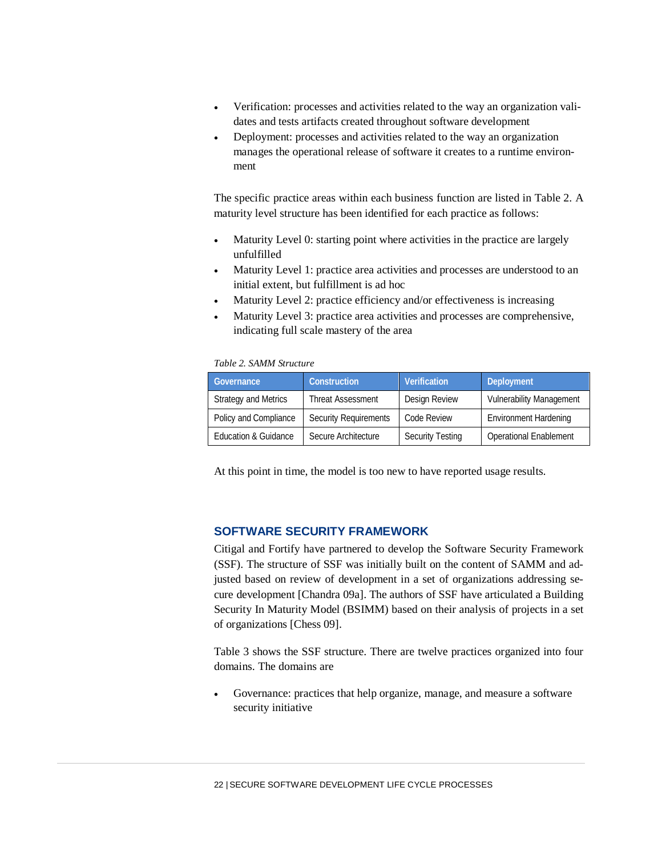- Verification: processes and activities related to the way an organization validates and tests artifacts created throughout software development
- Deployment: processes and activities related to the way an organization manages the operational release of software it creates to a runtime environment

The specific practice areas within each business function are listed in Table 2. A maturity level structure has been identified for each practice as follows:

- Maturity Level 0: starting point where activities in the practice are largely unfulfilled
- Maturity Level 1: practice area activities and processes are understood to an initial extent, but fulfillment is ad hoc
- Maturity Level 2: practice efficiency and/or effectiveness is increasing
- Maturity Level 3: practice area activities and processes are comprehensive, indicating full scale mastery of the area

## *Table 2. SAMM Structure*

| Governance                  | Construction                 | Verification            | Deployment                      |
|-----------------------------|------------------------------|-------------------------|---------------------------------|
| <b>Strategy and Metrics</b> | <b>Threat Assessment</b>     | Design Review           | <b>Vulnerability Management</b> |
| Policy and Compliance       | <b>Security Requirements</b> | Code Review             | <b>Environment Hardening</b>    |
| Education & Guidance        | Secure Architecture          | <b>Security Testing</b> | <b>Operational Enablement</b>   |

At this point in time, the model is too new to have reported usage results.

# **SOFTWARE SECURITY FRAMEWORK**

Citigal and Fortify have partnered to develop the Software Security Framework (SSF). The structure of SSF was initially built on the content of SAMM and adjusted based on review of development in a set of organizations addressing secure development [Chandra 09a]. The authors of SSF have articulated a Building Security In Maturity Model (BSIMM) based on their analysis of projects in a set of organizations [Chess 09].

Table 3 shows the SSF structure. There are twelve practices organized into four domains. The domains are

Governance: practices that help organize, manage, and measure a software security initiative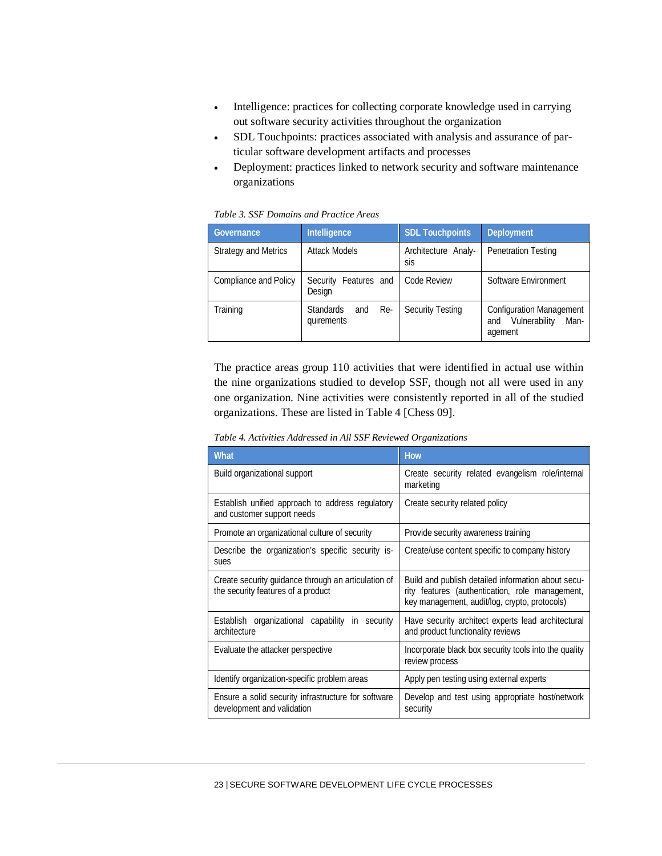- Intelligence: practices for collecting corporate knowledge used in carrying out software security activities throughout the organization
- SDL Touchpoints: practices associated with analysis and assurance of particular software development artifacts and processes
- Deployment: practices linked to network security and software maintenance organizations

#### *Table 3. SSF Domains and Practice Areas*

| Intelligence<br>Governance                          |                                              | <b>SDL Touchpoints</b>     | Deployment                                                                 |  |
|-----------------------------------------------------|----------------------------------------------|----------------------------|----------------------------------------------------------------------------|--|
| <b>Attack Models</b><br><b>Strategy and Metrics</b> |                                              | Architecture Analy-<br>sis | <b>Penetration Testing</b>                                                 |  |
| Compliance and Policy                               | Security Features and<br>Design              | Code Review                | Software Environment                                                       |  |
| Training                                            | <b>Standards</b><br>Re-<br>and<br>quirements | <b>Security Testing</b>    | <b>Configuration Management</b><br>Vulnerability<br>Man-<br>and<br>agement |  |

The practice areas group 110 activities that were identified in actual use within the nine organizations studied to develop SSF, though not all were used in any one organization. Nine activities were consistently reported in all of the studied organizations. These are listed in Table 4 [Chess 09].

| Table 4. Activities Addressed in All SSF Reviewed Organizations |  |  |
|-----------------------------------------------------------------|--|--|
|-----------------------------------------------------------------|--|--|

| <b>What</b>                                                                               | <b>How</b>                                                                                                                                             |
|-------------------------------------------------------------------------------------------|--------------------------------------------------------------------------------------------------------------------------------------------------------|
| Build organizational support                                                              | Create security related evangelism role/internal<br>marketing                                                                                          |
| Establish unified approach to address regulatory<br>and customer support needs            | Create security related policy                                                                                                                         |
| Promote an organizational culture of security                                             | Provide security awareness training                                                                                                                    |
| Describe the organization's specific security is-<br>sues                                 | Create/use content specific to company history                                                                                                         |
| Create security guidance through an articulation of<br>the security features of a product | Build and publish detailed information about secu-<br>rity features (authentication, role management,<br>key management, audit/log, crypto, protocols) |
| Establish organizational capability<br>in security<br>architecture                        | Have security architect experts lead architectural<br>and product functionality reviews                                                                |
| Evaluate the attacker perspective                                                         | Incorporate black box security tools into the quality<br>review process                                                                                |
| Identify organization-specific problem areas                                              | Apply pen testing using external experts                                                                                                               |
| Ensure a solid security infrastructure for software<br>development and validation         | Develop and test using appropriate host/network<br>security                                                                                            |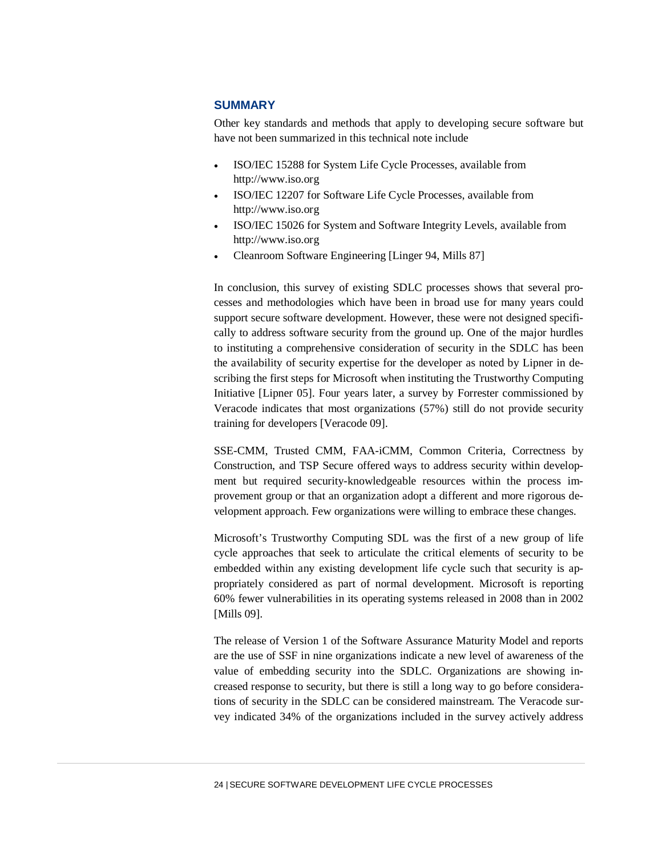# **SUMMARY**

Other key standards and methods that apply to developing secure software but have not been summarized in this technical note include

- ISO/IEC 15288 for System Life Cycle Processes, available from http://www.iso.org
- ISO/IEC 12207 for Software Life Cycle Processes, available from http://www.iso.org
- ISO/IEC 15026 for System and Software Integrity Levels, available from http://www.iso.org
- Cleanroom Software Engineering [Linger 94, Mills 87]

In conclusion, this survey of existing SDLC processes shows that several processes and methodologies which have been in broad use for many years could support secure software development. However, these were not designed specifically to address software security from the ground up. One of the major hurdles to instituting a comprehensive consideration of security in the SDLC has been the availability of security expertise for the developer as noted by Lipner in describing the first steps for Microsoft when instituting the Trustworthy Computing Initiative [Lipner 05]. Four years later, a survey by Forrester commissioned by Veracode indicates that most organizations (57%) still do not provide security training for developers [Veracode 09].

SSE-CMM, Trusted CMM, FAA-iCMM, Common Criteria, Correctness by Construction, and TSP Secure offered ways to address security within development but required security-knowledgeable resources within the process improvement group or that an organization adopt a different and more rigorous development approach. Few organizations were willing to embrace these changes.

Microsoft's Trustworthy Computing SDL was the first of a new group of life cycle approaches that seek to articulate the critical elements of security to be embedded within any existing development life cycle such that security is appropriately considered as part of normal development. Microsoft is reporting 60% fewer vulnerabilities in its operating systems released in 2008 than in 2002 [Mills 09].

The release of Version 1 of the Software Assurance Maturity Model and reports are the use of SSF in nine organizations indicate a new level of awareness of the value of embedding security into the SDLC. Organizations are showing increased response to security, but there is still a long way to go before considerations of security in the SDLC can be considered mainstream. The Veracode survey indicated 34% of the organizations included in the survey actively address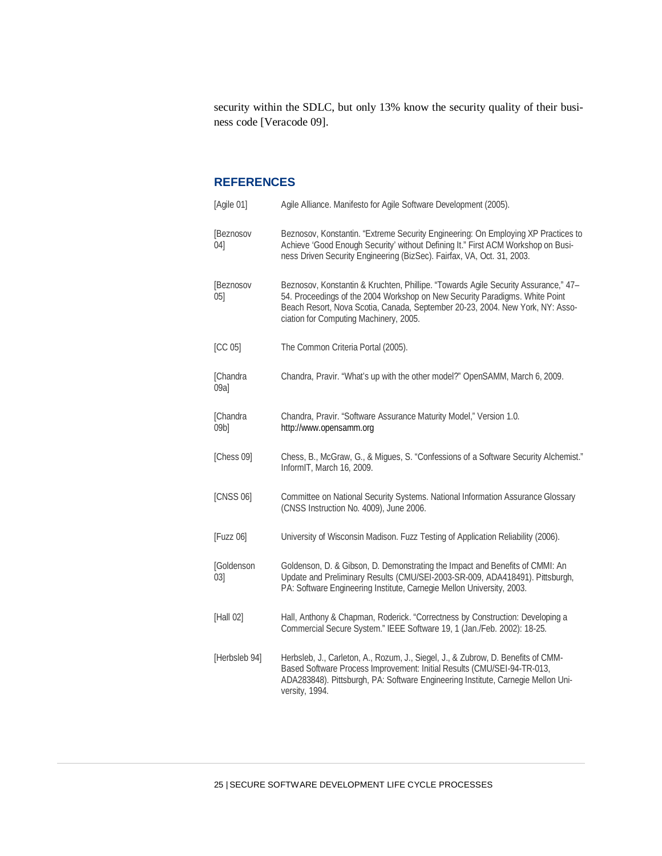security within the SDLC, but only 13% know the security quality of their business code [Veracode 09].

# **REFERENCES**

| [Agile 01]                  | Agile Alliance. Manifesto for Agile Software Development (2005).                                                                                                                                                                                                                             |
|-----------------------------|----------------------------------------------------------------------------------------------------------------------------------------------------------------------------------------------------------------------------------------------------------------------------------------------|
| [Beznosov<br>04             | Beznosov, Konstantin. "Extreme Security Engineering: On Employing XP Practices to<br>Achieve 'Good Enough Security' without Defining It." First ACM Workshop on Busi-<br>ness Driven Security Engineering (BizSec). Fairfax, VA, Oct. 31, 2003.                                              |
| [Beznosov<br>05             | Beznosov, Konstantin & Kruchten, Phillipe. "Towards Agile Security Assurance," 47-<br>54. Proceedings of the 2004 Workshop on New Security Paradigms. White Point<br>Beach Resort, Nova Scotia, Canada, September 20-23, 2004. New York, NY: Asso-<br>ciation for Computing Machinery, 2005. |
| [CC 05]                     | The Common Criteria Portal (2005).                                                                                                                                                                                                                                                           |
| [Chandra<br>09a             | Chandra, Pravir. "What's up with the other model?" OpenSAMM, March 6, 2009.                                                                                                                                                                                                                  |
| [Chandra<br>09 <sub>b</sub> | Chandra, Pravir. "Software Assurance Maturity Model," Version 1.0.<br>http://www.opensamm.org                                                                                                                                                                                                |
| [Chess 09]                  | Chess, B., McGraw, G., & Migues, S. "Confessions of a Software Security Alchemist."<br>InformIT, March 16, 2009.                                                                                                                                                                             |
| [CNSS 06]                   | Committee on National Security Systems. National Information Assurance Glossary<br>(CNSS Instruction No. 4009), June 2006.                                                                                                                                                                   |
| [Fuzz 06]                   | University of Wisconsin Madison. Fuzz Testing of Application Reliability (2006).                                                                                                                                                                                                             |
| [Goldenson<br>03            | Goldenson, D. & Gibson, D. Demonstrating the Impact and Benefits of CMMI: An<br>Update and Preliminary Results (CMU/SEI-2003-SR-009, ADA418491). Pittsburgh,<br>PA: Software Engineering Institute, Carnegie Mellon University, 2003.                                                        |
| [Hall 02]                   | Hall, Anthony & Chapman, Roderick. "Correctness by Construction: Developing a<br>Commercial Secure System." IEEE Software 19, 1 (Jan./Feb. 2002): 18-25.                                                                                                                                     |
| [Herbsleb 94]               | Herbsleb, J., Carleton, A., Rozum, J., Siegel, J., & Zubrow, D. Benefits of CMM-<br>Based Software Process Improvement: Initial Results (CMU/SEI-94-TR-013,<br>ADA283848). Pittsburgh, PA: Software Engineering Institute, Carnegie Mellon Uni-<br>versity, 1994.                            |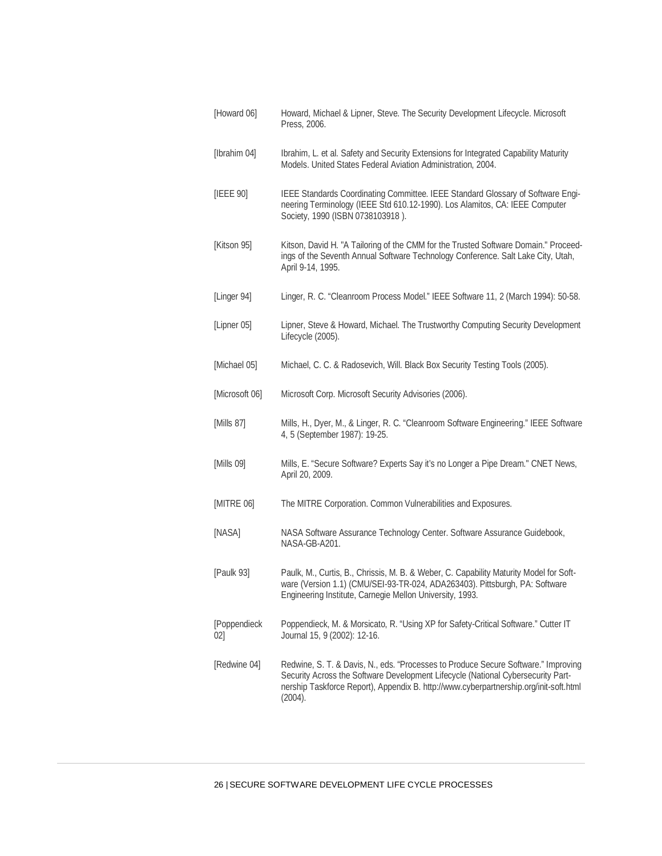| [Howard 06]        | Howard, Michael & Lipner, Steve. The Security Development Lifecycle. Microsoft<br>Press, 2006.                                                                                                                                                                             |
|--------------------|----------------------------------------------------------------------------------------------------------------------------------------------------------------------------------------------------------------------------------------------------------------------------|
| [Ibrahim 04]       | Ibrahim, L. et al. Safety and Security Extensions for Integrated Capability Maturity<br>Models. United States Federal Aviation Administration, 2004.                                                                                                                       |
| [IEEE 90]          | IEEE Standards Coordinating Committee. IEEE Standard Glossary of Software Engi-<br>neering Terminology (IEEE Std 610.12-1990). Los Alamitos, CA: IEEE Computer<br>Society, 1990 (ISBN 0738103918).                                                                         |
| [Kitson 95]        | Kitson, David H. "A Tailoring of the CMM for the Trusted Software Domain." Proceed-<br>ings of the Seventh Annual Software Technology Conference. Salt Lake City, Utah,<br>April 9-14, 1995.                                                                               |
| [Linger 94]        | Linger, R. C. "Cleanroom Process Model." IEEE Software 11, 2 (March 1994): 50-58.                                                                                                                                                                                          |
| [Lipner 05]        | Lipner, Steve & Howard, Michael. The Trustworthy Computing Security Development<br>Lifecycle (2005).                                                                                                                                                                       |
| [Michael 05]       | Michael, C. C. & Radosevich, Will. Black Box Security Testing Tools (2005).                                                                                                                                                                                                |
| [Microsoft 06]     | Microsoft Corp. Microsoft Security Advisories (2006).                                                                                                                                                                                                                      |
| [Mills 87]         | Mills, H., Dyer, M., & Linger, R. C. "Cleanroom Software Engineering." IEEE Software<br>4, 5 (September 1987): 19-25.                                                                                                                                                      |
| [Mills 09]         | Mills, E. "Secure Software? Experts Say it's no Longer a Pipe Dream." CNET News,<br>April 20, 2009.                                                                                                                                                                        |
| [MITRE 06]         | The MITRE Corporation. Common Vulnerabilities and Exposures.                                                                                                                                                                                                               |
| [NASA]             | NASA Software Assurance Technology Center. Software Assurance Guidebook,<br>NASA-GB-A201.                                                                                                                                                                                  |
| [Paulk 93]         | Paulk, M., Curtis, B., Chrissis, M. B. & Weber, C. Capability Maturity Model for Soft-<br>ware (Version 1.1) (CMU/SEI-93-TR-024, ADA263403). Pittsburgh, PA: Software<br>Engineering Institute, Carnegie Mellon University, 1993.                                          |
| [Poppendieck<br>02 | Poppendieck, M. & Morsicato, R. "Using XP for Safety-Critical Software." Cutter IT<br>Journal 15, 9 (2002): 12-16.                                                                                                                                                         |
| [Redwine 04]       | Redwine, S. T. & Davis, N., eds. "Processes to Produce Secure Software." Improving<br>Security Across the Software Development Lifecycle (National Cybersecurity Part-<br>nership Taskforce Report), Appendix B. http://www.cyberpartnership.org/init-soft.html<br>(2004). |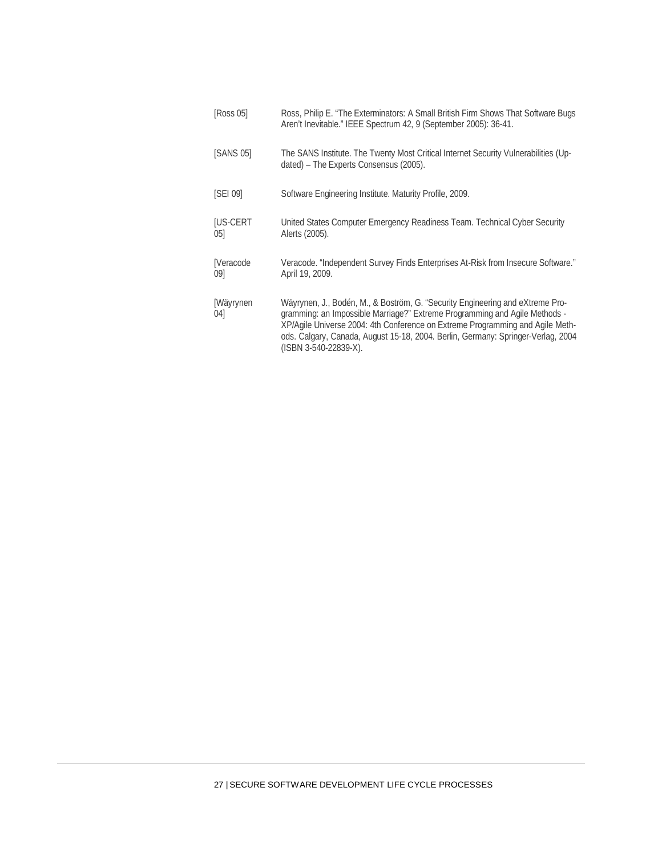| [Ross 05]              | Ross, Philip E. "The Exterminators: A Small British Firm Shows That Software Bugs<br>Aren't Inevitable." IEEE Spectrum 42, 9 (September 2005): 36-41.                                                                                                                                                                                                     |
|------------------------|-----------------------------------------------------------------------------------------------------------------------------------------------------------------------------------------------------------------------------------------------------------------------------------------------------------------------------------------------------------|
| <b>SANS 051</b>        | The SANS Institute. The Twenty Most Critical Internet Security Vulnerabilities (Up-<br>dated) – The Experts Consensus (2005).                                                                                                                                                                                                                             |
| <b>SEI 091</b>         | Software Engineering Institute. Maturity Profile, 2009.                                                                                                                                                                                                                                                                                                   |
| <b>IUS-CERT</b><br>051 | United States Computer Emergency Readiness Team. Technical Cyber Security<br>Alerts (2005).                                                                                                                                                                                                                                                               |
| [Veracode<br>09]       | Veracode. "Independent Survey Finds Enterprises At-Risk from Insecure Software."<br>April 19, 2009.                                                                                                                                                                                                                                                       |
| [Wäyrynen]<br>04       | Wäyrynen, J., Bodén, M., & Boström, G. "Security Engineering and eXtreme Pro-<br>gramming: an Impossible Marriage?" Extreme Programming and Agile Methods -<br>XP/Agile Universe 2004: 4th Conference on Extreme Programming and Agile Meth-<br>ods. Calgary, Canada, August 15-18, 2004. Berlin, Germany: Springer-Verlag, 2004<br>(ISBN 3-540-22839-X). |